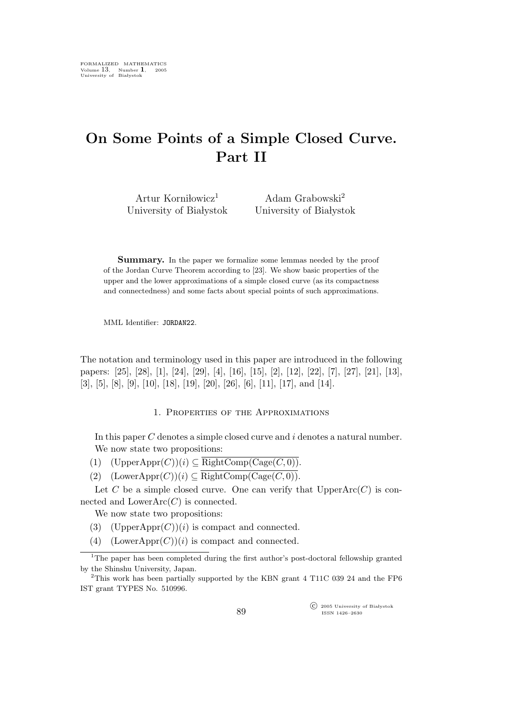## On Some Points of a Simple Closed Curve. Part II

Artur Korniłowicz<sup>1</sup> University of Białystok

Adam Grabowski<sup>2</sup> University of Białystok

Summary. In the paper we formalize some lemmas needed by the proof of the Jordan Curve Theorem according to [23]. We show basic properties of the upper and the lower approximations of a simple closed curve (as its compactness and connectedness) and some facts about special points of such approximations.

MML Identifier: JORDAN22.

The notation and terminology used in this paper are introduced in the following papers: [25], [28], [1], [24], [29], [4], [16], [15], [2], [12], [22], [7], [27], [21], [13], [3], [5], [8], [9], [10], [18], [19], [20], [26], [6], [11], [17], and [14].

## 1. Properties of the Approximations

In this paper C denotes a simple closed curve and i denotes a natural number. We now state two propositions:

- (1)  $(\text{UpperAppr}(C))(i) \subseteq \overline{\text{RightComp}(\text{Cage}(C, 0))}.$
- (2)  $(LowerAppr(C))(i) \subset \overline{RightComp(Cage(C, 0))}.$

Let C be a simple closed curve. One can verify that  $UpperArc(C)$  is connected and  $LowerArc(C)$  is connected.

We now state two propositions:

- (3) (UpperAppr $(C)(i)$  is compact and connected.
- (4) (LowerAppr $(C)(i)$  is compact and connected.

 $\widehat{\mathbb{C}}$  2005 University of Białystok ISSN 1426–2630

<sup>&</sup>lt;sup>1</sup>The paper has been completed during the first author's post-doctoral fellowship granted by the Shinshu University, Japan.

<sup>&</sup>lt;sup>2</sup>This work has been partially supported by the KBN grant 4 T11C 039 24 and the FP6 IST grant TYPES No. 510996.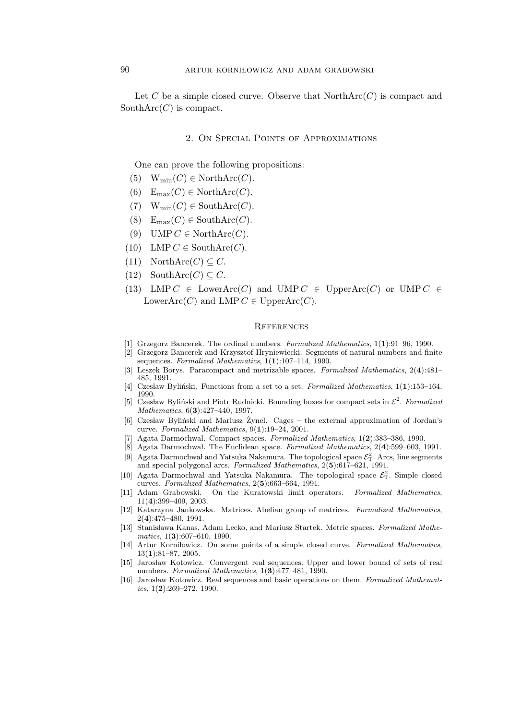Let C be a simple closed curve. Observe that  $\mathrm{NorthArc}(C)$  is compact and South $\text{Arc}(C)$  is compact.

## 2. On Special Points of Approximations

One can prove the following propositions:

- (5)  $W_{\text{min}}(C) \in \text{NorthArc}(C)$ .
- (6)  $E_{\text{max}}(C) \in \text{NorthArc}(C)$ .
- (7)  $W_{\text{min}}(C) \in \text{SouthArc}(C)$ .
- (8)  $E_{\text{max}}(C) \in \text{SouthArc}(C)$ .
- (9) UMP  $C \in \text{NorthArc}(C)$ .
- (10) LMP  $C \in \text{SouthArc}(C)$ .
- (11) NorthArc $(C) \subseteq C$ .
- (12) SouthArc( $C \subseteq C$ .
- (13) LMP  $C \in \text{LowerArc}(C)$  and UMP  $C \in \text{UpperArc}(C)$  or UMP  $C \in$ Lower $\text{Arc}(C)$  and LMP  $C \in \text{UpperArc}(C)$ .

## **REFERENCES**

- [1] Grzegorz Bancerek. The ordinal numbers. Formalized Mathematics, 1(1):91–96, 1990.
- [2] Grzegorz Bancerek and Krzysztof Hryniewiecki. Segments of natural numbers and finite sequences. Formalized Mathematics,  $1(1):107-114$ , 1990.
- [3] Leszek Borys. Paracompact and metrizable spaces. Formalized Mathematics, 2(4):481– 485, 1991.
- [4] Czesław Byliński. Functions from a set to a set. Formalized Mathematics,  $1(1):153-164$ , 1990.
- [5] Czesław Byliński and Piotr Rudnicki. Bounding boxes for compact sets in  $\mathcal{E}^2$ . Formalized Mathematics, 6(3):427–440, 1997.
- $[6]$  Czesław Byliński and Mariusz Zynel. Cages the external approximation of Jordan's curve. Formalized Mathematics, 9(1):19–24, 2001.
- [7] Agata Darmochwal. Compact spaces. Formalized Mathematics, 1(2):383-386, 1990.
- [8] Agata Darmochwal. The Euclidean space. Formalized Mathematics, 2(4):599–603, 1991. [9] Agata Darmochwal and Yatsuka Nakamura. The topological space  $\mathcal{E}_T^2$ . Arcs, line segments
- and special polygonal arcs. Formalized Mathematics, 2(5):617–621, 1991.
- [10] Agata Darmochwal and Yatsuka Nakamura. The topological space  $\mathcal{E}_T^2$ . Simple closed curves. Formalized Mathematics, 2(5):663–664, 1991.
- [11] Adam Grabowski. On the Kuratowski limit operators. Formalized Mathematics, 11(4):399–409, 2003.
- [12] Katarzyna Jankowska. Matrices. Abelian group of matrices. Formalized Mathematics, 2(4):475–480, 1991.
- [13] Stanisława Kanas, Adam Lecko, and Mariusz Startek. Metric spaces. Formalized Mathematics, 1(3):607-610, 1990.
- [14] Artur Korni lowicz. On some points of a simple closed curve. Formalized Mathematics, 13(1):81–87, 2005.
- [15] Jarosław Kotowicz. Convergent real sequences. Upper and lower bound of sets of real numbers. Formalized Mathematics,  $1(3):477-481$ , 1990.
- [16] Jarosław Kotowicz. Real sequences and basic operations on them. Formalized Mathematics,  $1(2):269-272$ , 1990.